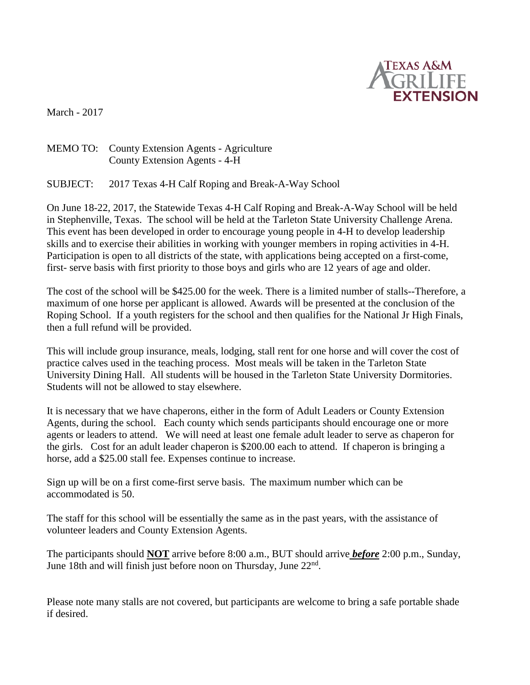

March - 2017

## MEMO TO: County Extension Agents - Agriculture County Extension Agents - 4-H

SUBJECT: 2017 Texas 4-H Calf Roping and Break-A-Way School

On June 18-22, 2017, the Statewide Texas 4-H Calf Roping and Break-A-Way School will be held in Stephenville, Texas. The school will be held at the Tarleton State University Challenge Arena. This event has been developed in order to encourage young people in 4-H to develop leadership skills and to exercise their abilities in working with younger members in roping activities in 4-H. Participation is open to all districts of the state, with applications being accepted on a first-come, first- serve basis with first priority to those boys and girls who are 12 years of age and older.

The cost of the school will be \$425.00 for the week. There is a limited number of stalls--Therefore, a maximum of one horse per applicant is allowed. Awards will be presented at the conclusion of the Roping School. If a youth registers for the school and then qualifies for the National Jr High Finals, then a full refund will be provided.

This will include group insurance, meals, lodging, stall rent for one horse and will cover the cost of practice calves used in the teaching process. Most meals will be taken in the Tarleton State University Dining Hall. All students will be housed in the Tarleton State University Dormitories. Students will not be allowed to stay elsewhere.

It is necessary that we have chaperons, either in the form of Adult Leaders or County Extension Agents, during the school. Each county which sends participants should encourage one or more agents or leaders to attend. We will need at least one female adult leader to serve as chaperon for the girls. Cost for an adult leader chaperon is \$200.00 each to attend. If chaperon is bringing a horse, add a \$25.00 stall fee. Expenses continue to increase.

Sign up will be on a first come-first serve basis. The maximum number which can be accommodated is 50.

The staff for this school will be essentially the same as in the past years, with the assistance of volunteer leaders and County Extension Agents.

The participants should **NOT** arrive before 8:00 a.m., BUT should arrive *before* 2:00 p.m., Sunday, June 18th and will finish just before noon on Thursday, June  $22<sup>nd</sup>$ .

Please note many stalls are not covered, but participants are welcome to bring a safe portable shade if desired.